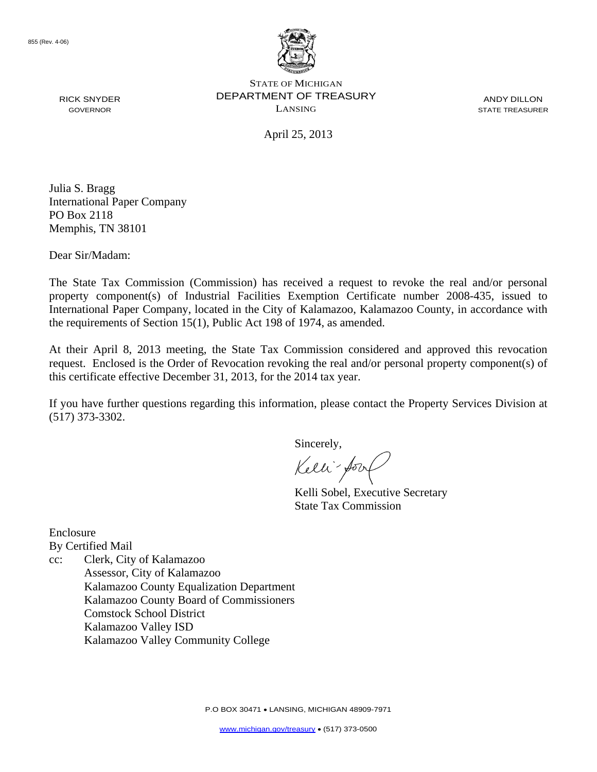

STATE OF MICHIGAN DEPARTMENT OF TREASURY LANSING

ANDY DILLON STATE TREASURER

April 25, 2013

Julia S. Bragg International Paper Company PO Box 2118 Memphis, TN 38101

Dear Sir/Madam:

RICK SNYDER GOVERNOR

The State Tax Commission (Commission) has received a request to revoke the real and/or personal property component(s) of Industrial Facilities Exemption Certificate number 2008-435, issued to International Paper Company, located in the City of Kalamazoo, Kalamazoo County, in accordance with the requirements of Section 15(1), Public Act 198 of 1974, as amended.

At their April 8, 2013 meeting, the State Tax Commission considered and approved this revocation request. Enclosed is the Order of Revocation revoking the real and/or personal property component(s) of this certificate effective December 31, 2013, for the 2014 tax year.

If you have further questions regarding this information, please contact the Property Services Division at (517) 373-3302.

Sincerely,

Kelli-Sool

Kelli Sobel, Executive Secretary State Tax Commission

Enclosure By Certified Mail

cc: Clerk, City of Kalamazoo Assessor, City of Kalamazoo Kalamazoo County Equalization Department Kalamazoo County Board of Commissioners Comstock School District Kalamazoo Valley ISD Kalamazoo Valley Community College